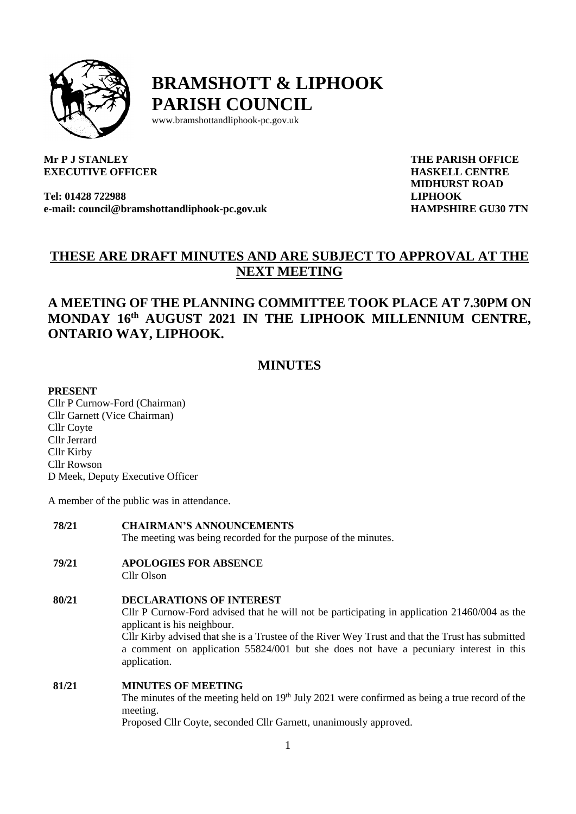

**BRAMSHOTT & LIPHOOK PARISH COUNCIL**

www.bramshottandliphook-pc.gov.uk

## **Mr P J STANLEY EXECUTIVE OFFICER**

**Tel: 01428 722988 e-mail: council@bramshottandliphook-pc.gov.uk** **THE PARISH OFFICE HASKELL CENTRE MIDHURST ROAD LIPHOOK HAMPSHIRE GU30 7TN**

# **THESE ARE DRAFT MINUTES AND ARE SUBJECT TO APPROVAL AT THE NEXT MEETING**

## **A MEETING OF THE PLANNING COMMITTEE TOOK PLACE AT 7.30PM ON MONDAY 16 th AUGUST 2021 IN THE LIPHOOK MILLENNIUM CENTRE, ONTARIO WAY, LIPHOOK.**

## **MINUTES**

### **PRESENT**

Cllr P Curnow-Ford (Chairman) Cllr Garnett (Vice Chairman) Cllr Coyte Cllr Jerrard Cllr Kirby Cllr Rowson D Meek, Deputy Executive Officer

A member of the public was in attendance.

- **78/21 CHAIRMAN'S ANNOUNCEMENTS** The meeting was being recorded for the purpose of the minutes.
- **79/21 APOLOGIES FOR ABSENCE** Cllr Olson
- **80/21 DECLARATIONS OF INTEREST** Cllr P Curnow-Ford advised that he will not be participating in application 21460/004 as the applicant is his neighbour. Cllr Kirby advised that she is a Trustee of the River Wey Trust and that the Trust has submitted a comment on application 55824/001 but she does not have a pecuniary interest in this application.

## **81/21 MINUTES OF MEETING**

The minutes of the meeting held on 19<sup>th</sup> July 2021 were confirmed as being a true record of the meeting.

Proposed Cllr Coyte, seconded Cllr Garnett, unanimously approved.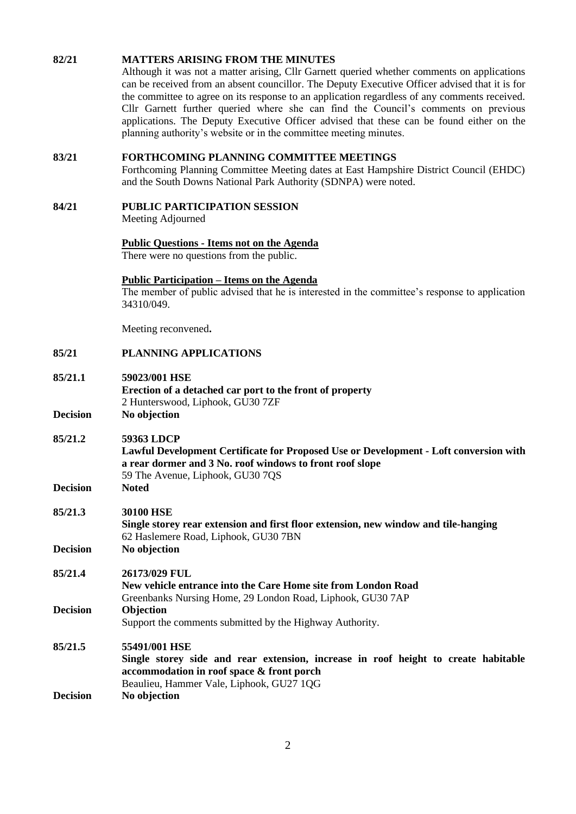#### **82/21 MATTERS ARISING FROM THE MINUTES**

Although it was not a matter arising, Cllr Garnett queried whether comments on applications can be received from an absent councillor. The Deputy Executive Officer advised that it is for the committee to agree on its response to an application regardless of any comments received. Cllr Garnett further queried where she can find the Council's comments on previous applications. The Deputy Executive Officer advised that these can be found either on the planning authority's website or in the committee meeting minutes.

#### **83/21 FORTHCOMING PLANNING COMMITTEE MEETINGS**

Forthcoming Planning Committee Meeting dates at East Hampshire District Council (EHDC) and the South Downs National Park Authority (SDNPA) were noted.

**84/21 PUBLIC PARTICIPATION SESSION**

Meeting Adjourned

#### **Public Questions - Items not on the Agenda**

There were no questions from the public.

#### **Public Participation – Items on the Agenda**

The member of public advised that he is interested in the committee's response to application 34310/049.

Meeting reconvened**.**

**85/21 PLANNING APPLICATIONS**

| 85/21.1 | 59023/001 HSE                                            |  |
|---------|----------------------------------------------------------|--|
|         | Erection of a detached car port to the front of property |  |
|         | 2 Hunterswood, Liphook, GU30 7ZF                         |  |
|         |                                                          |  |

**Decision No objection**

- **85/21.2 59363 LDCP**
	- **Lawful Development Certificate for Proposed Use or Development - Loft conversion with a rear dormer and 3 No. roof windows to front roof slope** 59 The Avenue, Liphook, GU30 7QS
- **Decision Noted**

## **85/21.3 30100 HSE Single storey rear extension and first floor extension, new window and tile-hanging** 62 Haslemere Road, Liphook, GU30 7BN

- **Decision No objection**
- **85/21.4 26173/029 FUL New vehicle entrance into the Care Home site from London Road** Greenbanks Nursing Home, 29 London Road, Liphook, GU30 7AP **Decision Objection** Support the comments submitted by the Highway Authority.

## **85/21.5 55491/001 HSE**

**Single storey side and rear extension, increase in roof height to create habitable accommodation in roof space & front porch** Beaulieu, Hammer Vale, Liphook, GU27 1QG **Decision No objection**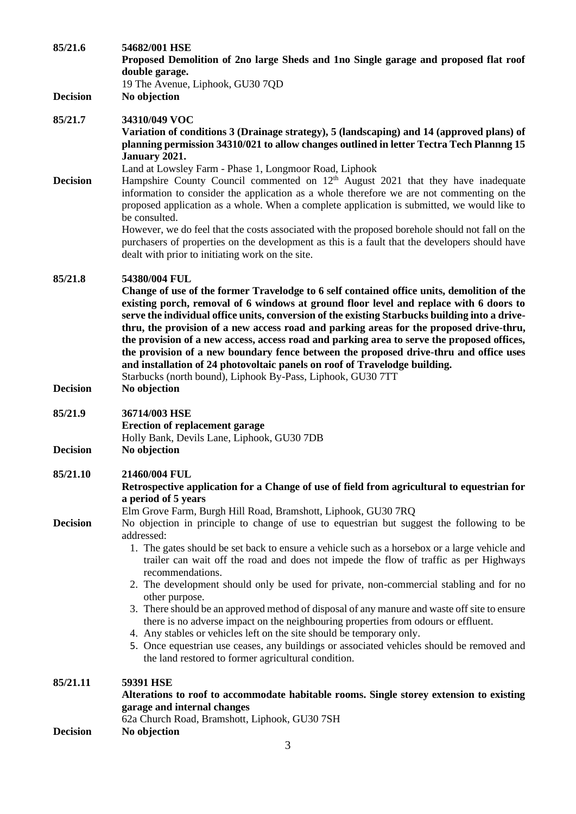| 85/21.6         | 54682/001 HSE<br>Proposed Demolition of 2no large Sheds and 1no Single garage and proposed flat roof<br>double garage.<br>19 The Avenue, Liphook, GU30 7QD                                                                                                                                                                                                                                                                                                                                                                                                                                                                                                                                                                                                                                                                                                                                                           |
|-----------------|----------------------------------------------------------------------------------------------------------------------------------------------------------------------------------------------------------------------------------------------------------------------------------------------------------------------------------------------------------------------------------------------------------------------------------------------------------------------------------------------------------------------------------------------------------------------------------------------------------------------------------------------------------------------------------------------------------------------------------------------------------------------------------------------------------------------------------------------------------------------------------------------------------------------|
| <b>Decision</b> | No objection                                                                                                                                                                                                                                                                                                                                                                                                                                                                                                                                                                                                                                                                                                                                                                                                                                                                                                         |
| 85/21.7         | 34310/049 VOC<br>Variation of conditions 3 (Drainage strategy), 5 (landscaping) and 14 (approved plans) of<br>planning permission 34310/021 to allow changes outlined in letter Tectra Tech Plannng 15<br>January 2021.                                                                                                                                                                                                                                                                                                                                                                                                                                                                                                                                                                                                                                                                                              |
| <b>Decision</b> | Land at Lowsley Farm - Phase 1, Longmoor Road, Liphook<br>Hampshire County Council commented on $12th$ August 2021 that they have inadequate<br>information to consider the application as a whole therefore we are not commenting on the<br>proposed application as a whole. When a complete application is submitted, we would like to<br>be consulted.                                                                                                                                                                                                                                                                                                                                                                                                                                                                                                                                                            |
|                 | However, we do feel that the costs associated with the proposed borehole should not fall on the<br>purchasers of properties on the development as this is a fault that the developers should have<br>dealt with prior to initiating work on the site.                                                                                                                                                                                                                                                                                                                                                                                                                                                                                                                                                                                                                                                                |
| 85/21.8         | 54380/004 FUL<br>Change of use of the former Travelodge to 6 self contained office units, demolition of the<br>existing porch, removal of 6 windows at ground floor level and replace with 6 doors to<br>serve the individual office units, conversion of the existing Starbucks building into a drive-<br>thru, the provision of a new access road and parking areas for the proposed drive-thru,<br>the provision of a new access, access road and parking area to serve the proposed offices,<br>the provision of a new boundary fence between the proposed drive-thru and office uses<br>and installation of 24 photovoltaic panels on roof of Travelodge building.<br>Starbucks (north bound), Liphook By-Pass, Liphook, GU30 7TT                                                                                                                                                                               |
| <b>Decision</b> | No objection                                                                                                                                                                                                                                                                                                                                                                                                                                                                                                                                                                                                                                                                                                                                                                                                                                                                                                         |
| 85/21.9         | 36714/003 HSE<br><b>Erection of replacement garage</b><br>Holly Bank, Devils Lane, Liphook, GU30 7DB                                                                                                                                                                                                                                                                                                                                                                                                                                                                                                                                                                                                                                                                                                                                                                                                                 |
| <b>Decision</b> | No objection                                                                                                                                                                                                                                                                                                                                                                                                                                                                                                                                                                                                                                                                                                                                                                                                                                                                                                         |
| 85/21.10        | 21460/004 FUL<br>Retrospective application for a Change of use of field from agricultural to equestrian for<br>a period of 5 years                                                                                                                                                                                                                                                                                                                                                                                                                                                                                                                                                                                                                                                                                                                                                                                   |
| <b>Decision</b> | Elm Grove Farm, Burgh Hill Road, Bramshott, Liphook, GU30 7RQ<br>No objection in principle to change of use to equestrian but suggest the following to be<br>addressed:<br>1. The gates should be set back to ensure a vehicle such as a horsebox or a large vehicle and<br>trailer can wait off the road and does not impede the flow of traffic as per Highways<br>recommendations.<br>2. The development should only be used for private, non-commercial stabling and for no<br>other purpose.<br>3. There should be an approved method of disposal of any manure and waste off site to ensure<br>there is no adverse impact on the neighbouring properties from odours or effluent.<br>4. Any stables or vehicles left on the site should be temporary only.<br>5. Once equestrian use ceases, any buildings or associated vehicles should be removed and<br>the land restored to former agricultural condition. |
| 85/21.11        | 59391 HSE<br>Alterations to roof to accommodate habitable rooms. Single storey extension to existing<br>garage and internal changes                                                                                                                                                                                                                                                                                                                                                                                                                                                                                                                                                                                                                                                                                                                                                                                  |
| <b>Decision</b> | 62a Church Road, Bramshott, Liphook, GU30 7SH<br>No objection<br>3                                                                                                                                                                                                                                                                                                                                                                                                                                                                                                                                                                                                                                                                                                                                                                                                                                                   |